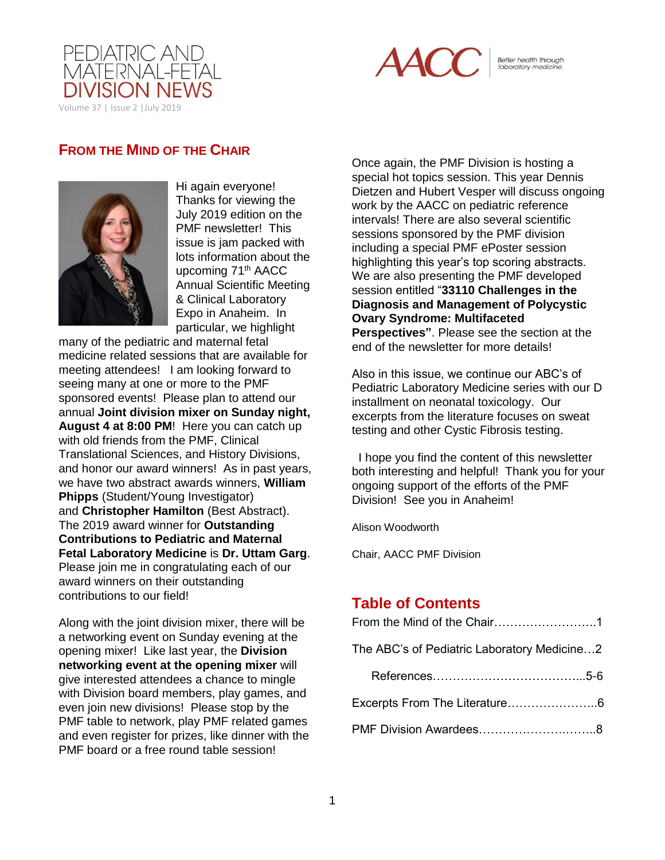



Better health through<br>laboratory medicine.

## **FROM THE MIND OF THE CHAIR**



Hi again everyone! Thanks for viewing the July 2019 edition on the PMF newsletter! This issue is jam packed with lots information about the upcoming 71<sup>th</sup> AACC Annual Scientific Meeting & Clinical Laboratory Expo in Anaheim. In particular, we highlight

many of the pediatric and maternal fetal medicine related sessions that are available for meeting attendees! I am looking forward to seeing many at one or more to the PMF sponsored events! Please plan to attend our annual **Joint division mixer on Sunday night, August 4 at 8:00 PM**! Here you can catch up with old friends from the PMF, Clinical Translational Sciences, and History Divisions, and honor our award winners! As in past years, we have two abstract awards winners, **William Phipps** (Student/Young Investigator) and **Christopher Hamilton** (Best Abstract). The 2019 award winner for **Outstanding Contributions to Pediatric and Maternal Fetal Laboratory Medicine** is **Dr. Uttam Garg**. Please join me in congratulating each of our award winners on their outstanding contributions to our field!

Along with the joint division mixer, there will be a networking event on Sunday evening at the opening mixer! Like last year, the **Division networking event at the opening mixer** will give interested attendees a chance to mingle with Division board members, play games, and even join new divisions! Please stop by the PMF table to network, play PMF related games and even register for prizes, like dinner with the PMF board or a free round table session!

Once again, the PMF Division is hosting a special hot topics session. This year Dennis Dietzen and Hubert Vesper will discuss ongoing work by the AACC on pediatric reference intervals! There are also several scientific sessions sponsored by the PMF division including a special PMF ePoster session highlighting this year's top scoring abstracts. We are also presenting the PMF developed session entitled "**[33110 Challenges in the](javascript:%20openwin()  [Diagnosis and Management of Polycystic](javascript:%20openwin()  [Ovary Syndrome: Multifaceted](javascript:%20openwin()  [Perspectives"](javascript:%20openwin()**. Please see the section at the end of the newsletter for more details!

Also in this issue, we continue our ABC's of Pediatric Laboratory Medicine series with our D installment on neonatal toxicology. Our excerpts from the literature focuses on sweat testing and other Cystic Fibrosis testing.

 I hope you find the content of this newsletter both interesting and helpful! Thank you for your ongoing support of the efforts of the PMF Division! See you in Anaheim!

Alison Woodworth

Chair, AACC PMF Division

## **Table of Contents**

| The ABC's of Pediatric Laboratory Medicine2 |
|---------------------------------------------|
|                                             |
|                                             |
|                                             |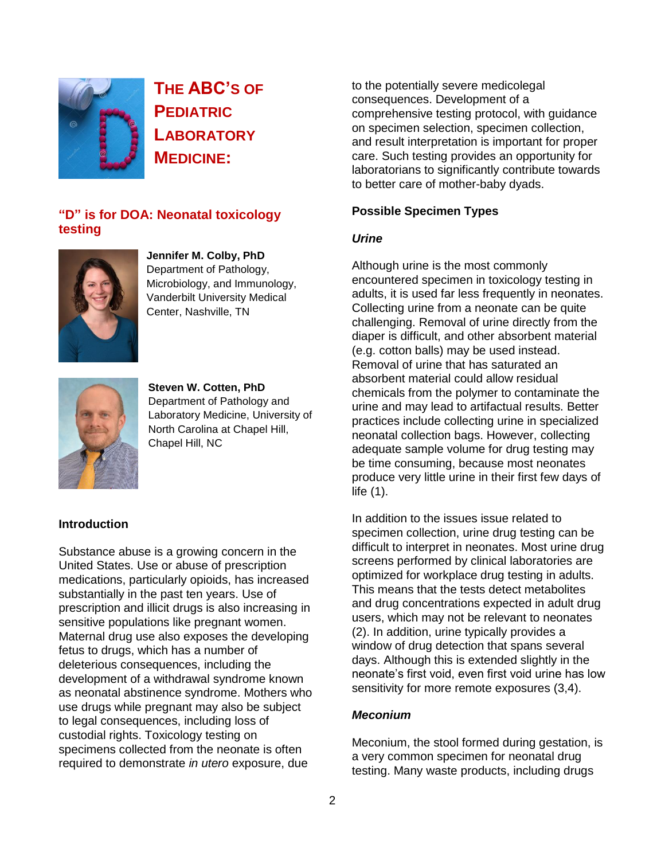

**THE ABC'S OF PEDIATRIC LABORATORY MEDICINE:**

## **"D" is for DOA: Neonatal toxicology testing**



**Jennifer M. Colby, PhD** Department of Pathology, Microbiology, and Immunology, Vanderbilt University Medical Center, Nashville, TN



**Steven W. Cotten, PhD** Department of Pathology and Laboratory Medicine, University of North Carolina at Chapel Hill, Chapel Hill, NC

## **Introduction**

Substance abuse is a growing concern in the United States. Use or abuse of prescription medications, particularly opioids, has increased substantially in the past ten years. Use of prescription and illicit drugs is also increasing in sensitive populations like pregnant women. Maternal drug use also exposes the developing fetus to drugs, which has a number of deleterious consequences, including the development of a withdrawal syndrome known as neonatal abstinence syndrome. Mothers who use drugs while pregnant may also be subject to legal consequences, including loss of custodial rights. Toxicology testing on specimens collected from the neonate is often required to demonstrate *in utero* exposure, due

to the potentially severe medicolegal consequences. Development of a comprehensive testing protocol, with guidance on specimen selection, specimen collection, and result interpretation is important for proper care. Such testing provides an opportunity for laboratorians to significantly contribute towards to better care of mother-baby dyads.

## **Possible Specimen Types**

## *Urine*

Although urine is the most commonly encountered specimen in toxicology testing in adults, it is used far less frequently in neonates. Collecting urine from a neonate can be quite challenging. Removal of urine directly from the diaper is difficult, and other absorbent material (e.g. cotton balls) may be used instead. Removal of urine that has saturated an absorbent material could allow residual chemicals from the polymer to contaminate the urine and may lead to artifactual results. Better practices include collecting urine in specialized neonatal collection bags. However, collecting adequate sample volume for drug testing may be time consuming, because most neonates produce very little urine in their first few days of life (1).

In addition to the issues issue related to specimen collection, urine drug testing can be difficult to interpret in neonates. Most urine drug screens performed by clinical laboratories are optimized for workplace drug testing in adults. This means that the tests detect metabolites and drug concentrations expected in adult drug users, which may not be relevant to neonates (2). In addition, urine typically provides a window of drug detection that spans several days. Although this is extended slightly in the neonate's first void, even first void urine has low sensitivity for more remote exposures (3,4).

### *Meconium*

Meconium, the stool formed during gestation, is a very common specimen for neonatal drug testing. Many waste products, including drugs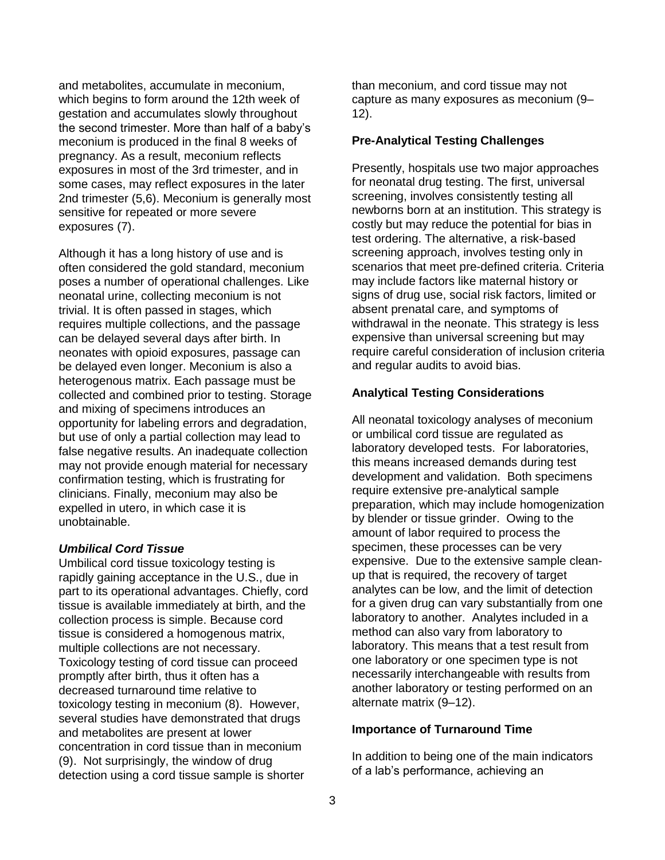and metabolites, accumulate in meconium, which begins to form around the 12th week of gestation and accumulates slowly throughout the second trimester. More than half of a baby's meconium is produced in the final 8 weeks of pregnancy. As a result, meconium reflects exposures in most of the 3rd trimester, and in some cases, may reflect exposures in the later 2nd trimester (5,6). Meconium is generally most sensitive for repeated or more severe exposures (7).

Although it has a long history of use and is often considered the gold standard, meconium poses a number of operational challenges. Like neonatal urine, collecting meconium is not trivial. It is often passed in stages, which requires multiple collections, and the passage can be delayed several days after birth. In neonates with opioid exposures, passage can be delayed even longer. Meconium is also a heterogenous matrix. Each passage must be collected and combined prior to testing. Storage and mixing of specimens introduces an opportunity for labeling errors and degradation, but use of only a partial collection may lead to false negative results. An inadequate collection may not provide enough material for necessary confirmation testing, which is frustrating for clinicians. Finally, meconium may also be expelled in utero, in which case it is unobtainable.

### *Umbilical Cord Tissue*

Umbilical cord tissue toxicology testing is rapidly gaining acceptance in the U.S., due in part to its operational advantages. Chiefly, cord tissue is available immediately at birth, and the collection process is simple. Because cord tissue is considered a homogenous matrix, multiple collections are not necessary. Toxicology testing of cord tissue can proceed promptly after birth, thus it often has a decreased turnaround time relative to toxicology testing in meconium (8). However, several studies have demonstrated that drugs and metabolites are present at lower concentration in cord tissue than in meconium (9). Not surprisingly, the window of drug detection using a cord tissue sample is shorter

than meconium, and cord tissue may not capture as many exposures as meconium (9– 12).

### **Pre-Analytical Testing Challenges**

Presently, hospitals use two major approaches for neonatal drug testing. The first, universal screening, involves consistently testing all newborns born at an institution. This strategy is costly but may reduce the potential for bias in test ordering. The alternative, a risk-based screening approach, involves testing only in scenarios that meet pre-defined criteria. Criteria may include factors like maternal history or signs of drug use, social risk factors, limited or absent prenatal care, and symptoms of withdrawal in the neonate. This strategy is less expensive than universal screening but may require careful consideration of inclusion criteria and regular audits to avoid bias.

## **Analytical Testing Considerations**

All neonatal toxicology analyses of meconium or umbilical cord tissue are regulated as laboratory developed tests. For laboratories, this means increased demands during test development and validation. Both specimens require extensive pre-analytical sample preparation, which may include homogenization by blender or tissue grinder. Owing to the amount of labor required to process the specimen, these processes can be very expensive. Due to the extensive sample cleanup that is required, the recovery of target analytes can be low, and the limit of detection for a given drug can vary substantially from one laboratory to another. Analytes included in a method can also vary from laboratory to laboratory. This means that a test result from one laboratory or one specimen type is not necessarily interchangeable with results from another laboratory or testing performed on an alternate matrix (9–12).

### **Importance of Turnaround Time**

In addition to being one of the main indicators of a lab's performance, achieving an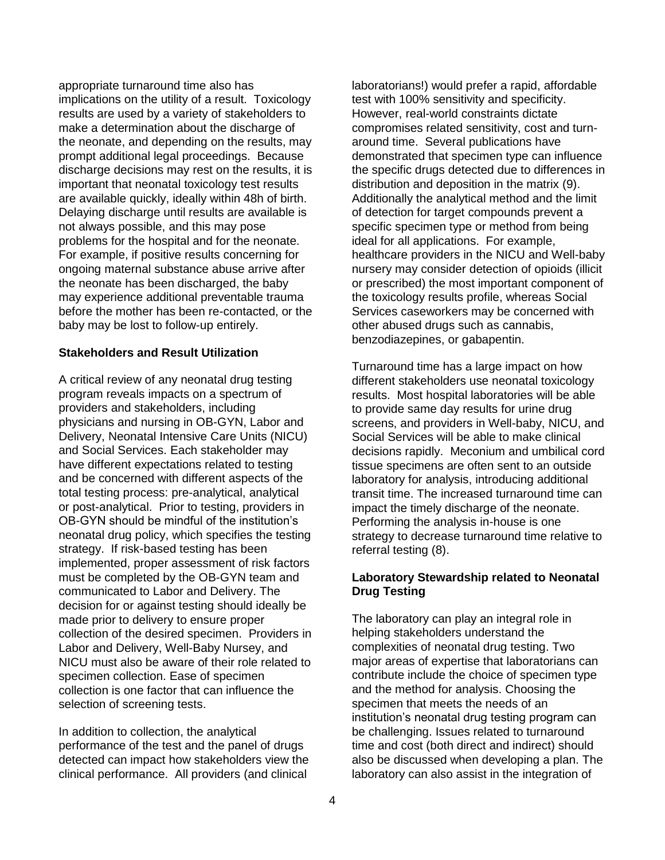appropriate turnaround time also has implications on the utility of a result. Toxicology results are used by a variety of stakeholders to make a determination about the discharge of the neonate, and depending on the results, may prompt additional legal proceedings. Because discharge decisions may rest on the results, it is important that neonatal toxicology test results are available quickly, ideally within 48h of birth. Delaying discharge until results are available is not always possible, and this may pose problems for the hospital and for the neonate. For example, if positive results concerning for ongoing maternal substance abuse arrive after the neonate has been discharged, the baby may experience additional preventable trauma before the mother has been re-contacted, or the baby may be lost to follow-up entirely.

## **Stakeholders and Result Utilization**

A critical review of any neonatal drug testing program reveals impacts on a spectrum of providers and stakeholders, including physicians and nursing in OB-GYN, Labor and Delivery, Neonatal Intensive Care Units (NICU) and Social Services. Each stakeholder may have different expectations related to testing and be concerned with different aspects of the total testing process: pre-analytical, analytical or post-analytical. Prior to testing, providers in OB-GYN should be mindful of the institution's neonatal drug policy, which specifies the testing strategy. If risk-based testing has been implemented, proper assessment of risk factors must be completed by the OB-GYN team and communicated to Labor and Delivery. The decision for or against testing should ideally be made prior to delivery to ensure proper collection of the desired specimen. Providers in Labor and Delivery, Well-Baby Nursey, and NICU must also be aware of their role related to specimen collection. Ease of specimen collection is one factor that can influence the selection of screening tests.

In addition to collection, the analytical performance of the test and the panel of drugs detected can impact how stakeholders view the clinical performance. All providers (and clinical

laboratorians!) would prefer a rapid, affordable test with 100% sensitivity and specificity. However, real-world constraints dictate compromises related sensitivity, cost and turnaround time. Several publications have demonstrated that specimen type can influence the specific drugs detected due to differences in distribution and deposition in the matrix (9). Additionally the analytical method and the limit of detection for target compounds prevent a specific specimen type or method from being ideal for all applications. For example, healthcare providers in the NICU and Well-baby nursery may consider detection of opioids (illicit or prescribed) the most important component of the toxicology results profile, whereas Social Services caseworkers may be concerned with other abused drugs such as cannabis, benzodiazepines, or gabapentin.

Turnaround time has a large impact on how different stakeholders use neonatal toxicology results. Most hospital laboratories will be able to provide same day results for urine drug screens, and providers in Well-baby, NICU, and Social Services will be able to make clinical decisions rapidly. Meconium and umbilical cord tissue specimens are often sent to an outside laboratory for analysis, introducing additional transit time. The increased turnaround time can impact the timely discharge of the neonate. Performing the analysis in-house is one strategy to decrease turnaround time relative to referral testing (8).

## **Laboratory Stewardship related to Neonatal Drug Testing**

The laboratory can play an integral role in helping stakeholders understand the complexities of neonatal drug testing. Two major areas of expertise that laboratorians can contribute include the choice of specimen type and the method for analysis. Choosing the specimen that meets the needs of an institution's neonatal drug testing program can be challenging. Issues related to turnaround time and cost (both direct and indirect) should also be discussed when developing a plan. The laboratory can also assist in the integration of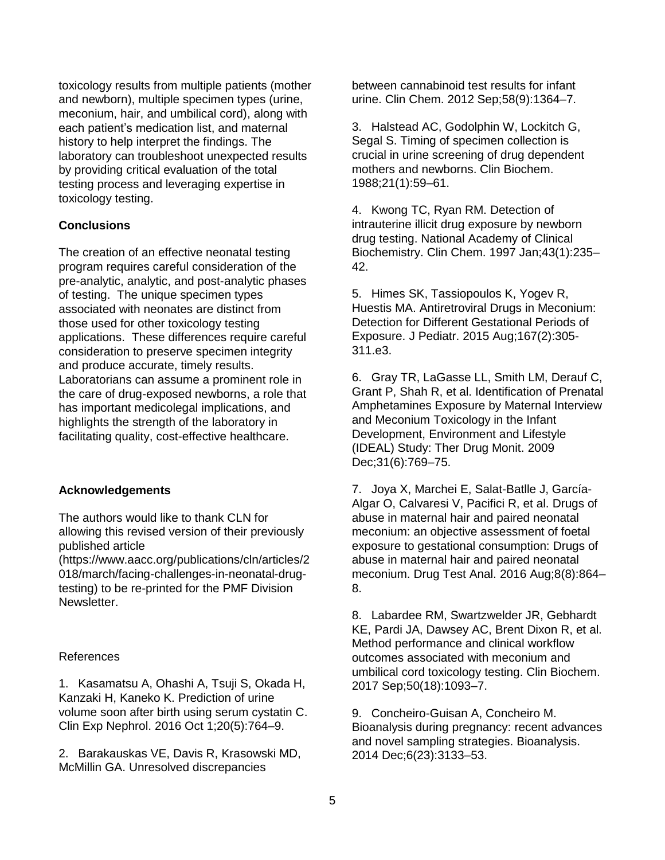toxicology results from multiple patients (mother and newborn), multiple specimen types (urine, meconium, hair, and umbilical cord), along with each patient's medication list, and maternal history to help interpret the findings. The laboratory can troubleshoot unexpected results by providing critical evaluation of the total testing process and leveraging expertise in toxicology testing.

## **Conclusions**

The creation of an effective neonatal testing program requires careful consideration of the pre-analytic, analytic, and post-analytic phases of testing. The unique specimen types associated with neonates are distinct from those used for other toxicology testing applications. These differences require careful consideration to preserve specimen integrity and produce accurate, timely results. Laboratorians can assume a prominent role in the care of drug-exposed newborns, a role that has important medicolegal implications, and highlights the strength of the laboratory in facilitating quality, cost-effective healthcare.

### **Acknowledgements**

The authors would like to thank CLN for allowing this revised version of their previously published article

(https://www.aacc.org/publications/cln/articles/2 018/march/facing-challenges-in-neonatal-drugtesting) to be re-printed for the PMF Division Newsletter.

## References

1. Kasamatsu A, Ohashi A, Tsuji S, Okada H, Kanzaki H, Kaneko K. Prediction of urine volume soon after birth using serum cystatin C. Clin Exp Nephrol. 2016 Oct 1;20(5):764–9.

2. Barakauskas VE, Davis R, Krasowski MD, McMillin GA. Unresolved discrepancies

between cannabinoid test results for infant urine. Clin Chem. 2012 Sep;58(9):1364–7.

3. Halstead AC, Godolphin W, Lockitch G, Segal S. Timing of specimen collection is crucial in urine screening of drug dependent mothers and newborns. Clin Biochem. 1988;21(1):59–61.

4. Kwong TC, Ryan RM. Detection of intrauterine illicit drug exposure by newborn drug testing. National Academy of Clinical Biochemistry. Clin Chem. 1997 Jan;43(1):235– 42.

5. Himes SK, Tassiopoulos K, Yogev R, Huestis MA. Antiretroviral Drugs in Meconium: Detection for Different Gestational Periods of Exposure. J Pediatr. 2015 Aug;167(2):305- 311.e3.

6. Gray TR, LaGasse LL, Smith LM, Derauf C, Grant P, Shah R, et al. Identification of Prenatal Amphetamines Exposure by Maternal Interview and Meconium Toxicology in the Infant Development, Environment and Lifestyle (IDEAL) Study: Ther Drug Monit. 2009 Dec;31(6):769–75.

7. Joya X, Marchei E, Salat-Batlle J, García-Algar O, Calvaresi V, Pacifici R, et al. Drugs of abuse in maternal hair and paired neonatal meconium: an objective assessment of foetal exposure to gestational consumption: Drugs of abuse in maternal hair and paired neonatal meconium. Drug Test Anal. 2016 Aug;8(8):864– 8.

8. Labardee RM, Swartzwelder JR, Gebhardt KE, Pardi JA, Dawsey AC, Brent Dixon R, et al. Method performance and clinical workflow outcomes associated with meconium and umbilical cord toxicology testing. Clin Biochem. 2017 Sep;50(18):1093–7.

9. Concheiro-Guisan A, Concheiro M. Bioanalysis during pregnancy: recent advances and novel sampling strategies. Bioanalysis. 2014 Dec;6(23):3133–53.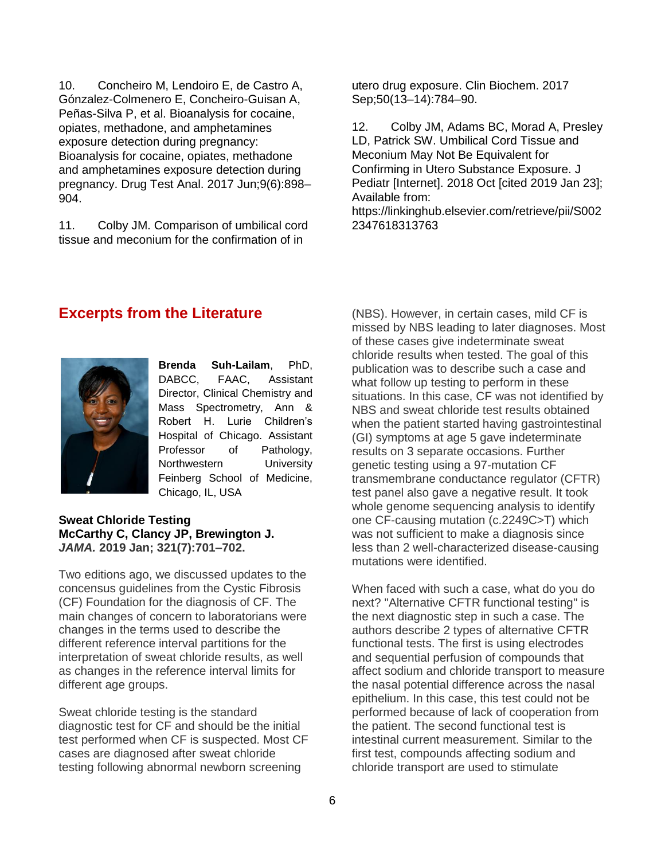10. Concheiro M, Lendoiro E, de Castro A, Gónzalez-Colmenero E, Concheiro-Guisan A, Peñas-Silva P, et al. Bioanalysis for cocaine, opiates, methadone, and amphetamines exposure detection during pregnancy: Bioanalysis for cocaine, opiates, methadone and amphetamines exposure detection during pregnancy. Drug Test Anal. 2017 Jun;9(6):898– 904.

11. Colby JM. Comparison of umbilical cord tissue and meconium for the confirmation of in

utero drug exposure. Clin Biochem. 2017 Sep;50(13–14):784–90.

12. Colby JM, Adams BC, Morad A, Presley LD, Patrick SW. Umbilical Cord Tissue and Meconium May Not Be Equivalent for Confirming in Utero Substance Exposure. J Pediatr [Internet]. 2018 Oct [cited 2019 Jan 23]; Available from:

https://linkinghub.elsevier.com/retrieve/pii/S002 2347618313763

## **Excerpts from the Literature**



**Brenda Suh-Lailam**, PhD, DABCC, FAAC, Assistant Director, Clinical Chemistry and Mass Spectrometry, Ann & Robert H. Lurie Children's Hospital of Chicago. Assistant Professor of Pathology, Northwestern University Feinberg School of Medicine, Chicago, IL, USA

### **Sweat Chloride Testing McCarthy C, Clancy JP, Brewington J.**  *JAMA.* **2019 Jan; 321(7):701–702.**

Two editions ago, we discussed updates to the concensus guidelines from the Cystic Fibrosis (CF) Foundation for the diagnosis of CF. The main changes of concern to laboratorians were changes in the terms used to describe the different reference interval partitions for the interpretation of sweat chloride results, as well as changes in the reference interval limits for different age groups.

Sweat chloride testing is the standard diagnostic test for CF and should be the initial test performed when CF is suspected. Most CF cases are diagnosed after sweat chloride testing following abnormal newborn screening

(NBS). However, in certain cases, mild CF is missed by NBS leading to later diagnoses. Most of these cases give indeterminate sweat chloride results when tested. The goal of this publication was to describe such a case and what follow up testing to perform in these situations. In this case, CF was not identified by NBS and sweat chloride test results obtained when the patient started having gastrointestinal (GI) symptoms at age 5 gave indeterminate results on 3 separate occasions. Further genetic testing using a 97-mutation CF transmembrane conductance regulator (CFTR) test panel also gave a negative result. It took whole genome sequencing analysis to identify one CF-causing mutation (c.2249C>T) which was not sufficient to make a diagnosis since less than 2 well-characterized disease-causing mutations were identified.

When faced with such a case, what do you do next? "Alternative CFTR functional testing" is the next diagnostic step in such a case. The authors describe 2 types of alternative CFTR functional tests. The first is using electrodes and sequential perfusion of compounds that affect sodium and chloride transport to measure the nasal potential difference across the nasal epithelium. In this case, this test could not be performed because of lack of cooperation from the patient. The second functional test is intestinal current measurement. Similar to the first test, compounds affecting sodium and chloride transport are used to stimulate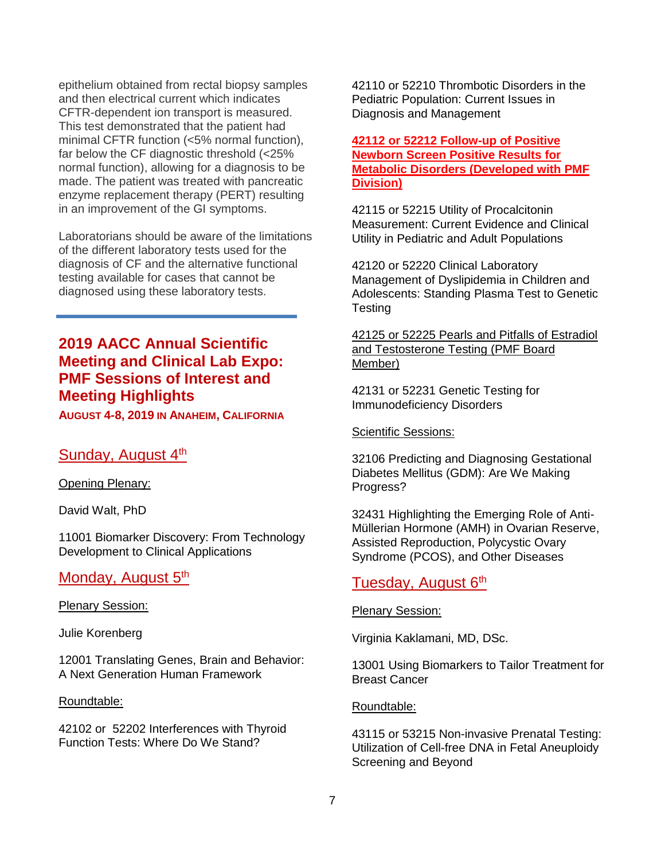epithelium obtained from rectal biopsy samples and then electrical current which indicates CFTR-dependent ion transport is measured. This test demonstrated that the patient had minimal CFTR function (<5% normal function), far below the CF diagnostic threshold (<25% normal function), allowing for a diagnosis to be made. The patient was treated with pancreatic enzyme replacement therapy (PERT) resulting in an improvement of the GI symptoms.

Laboratorians should be aware of the limitations of the different laboratory tests used for the diagnosis of CF and the alternative functional testing available for cases that cannot be diagnosed using these laboratory tests.

## **2019 AACC Annual Scientific Meeting and Clinical Lab Expo: PMF Sessions of Interest and Meeting Highlights**

**AUGUST 4-8, 2019 IN ANAHEIM, CALIFORNIA**

## Sunday, August 4th

Opening Plenary:

David Walt, PhD

[11001 Biomarker Discovery: From Technology](javascript:%20openwin()  [Development to Clinical Applications](javascript:%20openwin()

## Monday, August 5<sup>th</sup>

Plenary Session:

Julie Korenberg

[12001 Translating Genes, Brain and Behavior:](javascript:%20openwin()  [A Next Generation Human Framework](javascript:%20openwin()

#### Roundtable:

42102 or 52202 Interferences with Thyroid Function Tests: Where Do We Stand?

42110 or 52210 Thrombotic Disorders in the Pediatric Population: Current Issues in Diagnosis and Management

## **[42112 or 52212 Follow-up of Positive](javascript:%20openwin()  [Newborn Screen Positive Results for](javascript:%20openwin()  [Metabolic Disorders](javascript:%20openwin() (Developed with PMF Division)**

[42115 or 52215 Utility of Procalcitonin](javascript:%20openwin()  [Measurement: Current Evidence and Clinical](javascript:%20openwin()  [Utility in Pediatric and Adult Populations](javascript:%20openwin()

42120 or 52220 [Clinical Laboratory](javascript:%20openwin()  [Management of Dyslipidemia in Children and](javascript:%20openwin()  [Adolescents: Standing Plasma Test to Genetic](javascript:%20openwin()  [Testing](javascript:%20openwin()

[42125 or 52225 Pearls and Pitfalls of Estradiol](javascript:%20openwin()  [and Testosterone Testing](javascript:%20openwin() (PMF Board Member)

42131 or 52231 [Genetic Testing for](javascript:%20openwin()  [Immunodeficiency Disorders](javascript:%20openwin()

Scientific Sessions:

[32106 Predicting and Diagnosing Gestational](javascript:%20openwin()  [Diabetes Mellitus \(GDM\): Are We Making](javascript:%20openwin()  [Progress?](javascript:%20openwin()

[32431 Highlighting the Emerging Role of Anti-](javascript:%20openwin()[Müllerian Hormone \(AMH\) in Ovarian Reserve,](javascript:%20openwin()  [Assisted Reproduction, Polycystic Ovary](javascript:%20openwin()  [Syndrome \(PCOS\), and Other Diseases](javascript:%20openwin()

## Tuesday, August 6<sup>th</sup>

Plenary Session:

Virginia Kaklamani, MD, DSc.

[13001 Using Biomarkers to Tailor Treatment for](javascript:%20openwin()  [Breast Cancer](javascript:%20openwin()

### Roundtable:

[43115 or 53215 Non-invasive Prenatal Testing:](javascript:%20openwin()  [Utilization of Cell-free DNA in Fetal Aneuploidy](javascript:%20openwin()  [Screening and Beyond](javascript:%20openwin()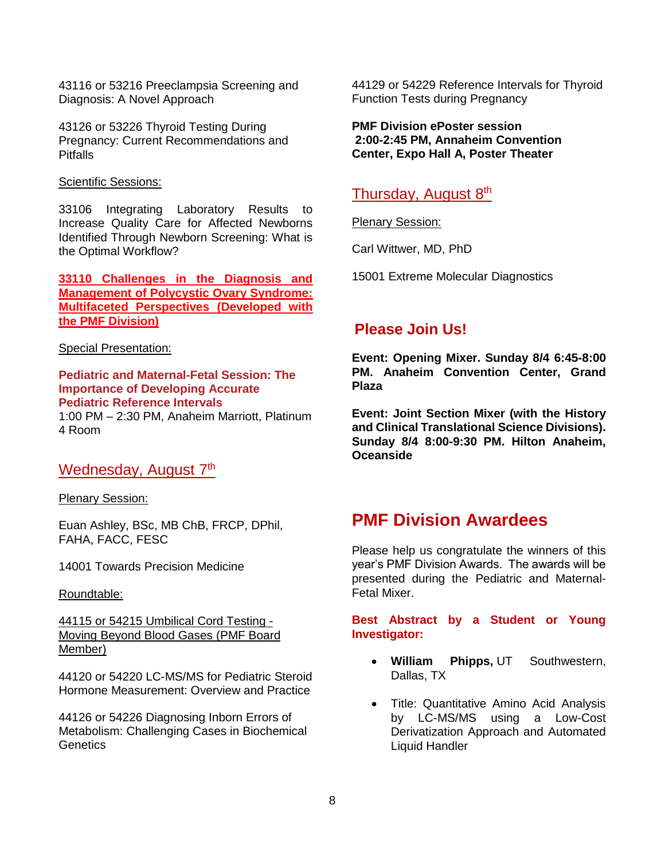[43116 or 53216 Preeclampsia Screening and](javascript:%20openwin()  [Diagnosis: A Novel Approach](javascript:%20openwin()

43126 or 53226 Thyroid Testing During Pregnancy: Current Recommendations and **Pitfalls** 

#### Scientific Sessions:

[33106 Integrating Laboratory Results to](javascript:%20openwin()  [Increase Quality Care for Affected Newborns](javascript:%20openwin()  [Identified Through Newborn Screening: What is](javascript:%20openwin()  [the Optimal Workflow?](javascript:%20openwin()

**[33110 Challenges in the Diagnosis and](javascript:%20openwin()  [Management of Polycystic Ovary Syndrome:](javascript:%20openwin()  [Multifaceted Perspectives](javascript:%20openwin() (Developed with the PMF Division)**

### Special Presentation:

**Pediatric and Maternal-Fetal Session: The Importance of Developing Accurate Pediatric Reference Intervals**

1:00 PM – 2:30 PM, Anaheim Marriott, Platinum 4 Room

## Wednesday, August 7<sup>th</sup>

Plenary Session:

Euan Ashley, BSc, MB ChB, FRCP, DPhil, FAHA, FACC, FESC

[14001 Towards Precision Medicine](javascript:%20openwin()

Roundtable:

44115 or 54215 [Umbilical Cord Testing -](javascript:%20openwin() [Moving Beyond Blood Gases](javascript:%20openwin() (PMF Board Member)

[44120 or 54220 LC-MS/MS for Pediatric Steroid](javascript:%20openwin()  [Hormone Measurement: Overview and Practice](javascript:%20openwin()

[44126 or 54226 Diagnosing Inborn Errors of](javascript:%20openwin()  [Metabolism: Challenging Cases in Biochemical](javascript:%20openwin()  [Genetics](javascript:%20openwin()

[44129 or 54229 Reference Intervals for Thyroid](javascript:%20openwin()  [Function Tests during Pregnancy](javascript:%20openwin()

**PMF Division ePoster session 2:00-2:45 PM, Annaheim Convention Center, Expo Hall A, Poster Theater**

## Thursday, August 8<sup>th</sup>

Plenary Session:

Carl Wittwer, MD, PhD

15001 Extreme Molecular Diagnostics

## **Please Join Us!**

**Event: Opening Mixer. Sunday 8/4 6:45-8:00 PM. Anaheim Convention Center, Grand Plaza**

**Event: Joint Section Mixer (with the History and Clinical Translational Science Divisions). Sunday 8/4 8:00-9:30 PM. Hilton Anaheim, Oceanside**

## **PMF Division Awardees**

Please help us congratulate the winners of this year's PMF Division Awards. The awards will be presented during the Pediatric and Maternal-Fetal Mixer.

**Best Abstract by a Student or Young Investigator:**

- **William Phipps,** UT Southwestern, Dallas, TX
- Title: Quantitative Amino Acid Analysis by LC-MS/MS using a Low-Cost Derivatization Approach and Automated Liquid Handler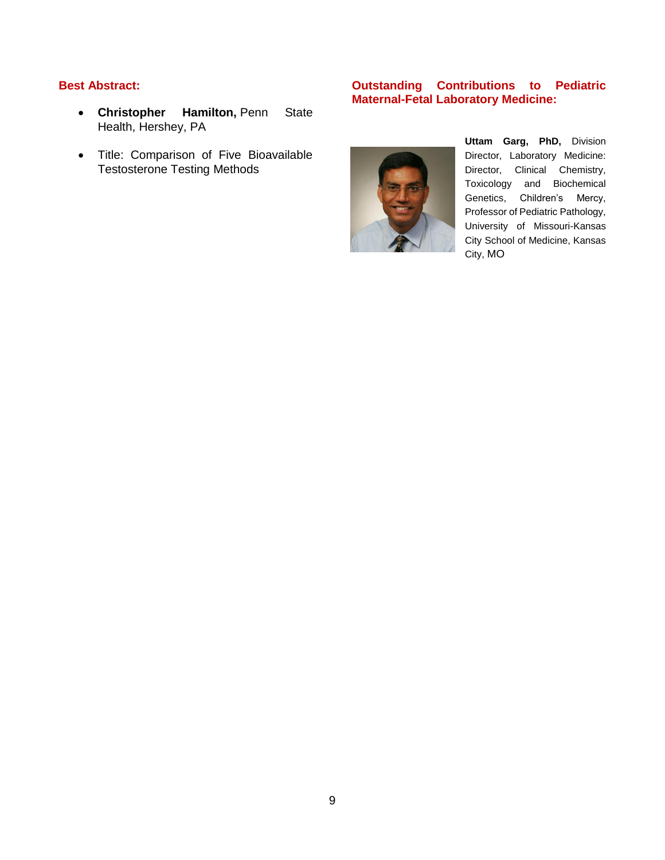## **Best Abstract:**

- **Christopher Hamilton,** Penn State Health, Hershey, PA
- Title: Comparison of Five Bioavailable Testosterone Testing Methods

## **Outstanding Contributions to Pediatric Maternal-Fetal Laboratory Medicine:**



**Uttam Garg, PhD,** Division Director, Laboratory Medicine: Director, Clinical Chemistry, Toxicology and Biochemical Genetics, Children's Mercy, Professor of Pediatric Pathology, University of Missouri-Kansas City School of Medicine, Kansas City, MO